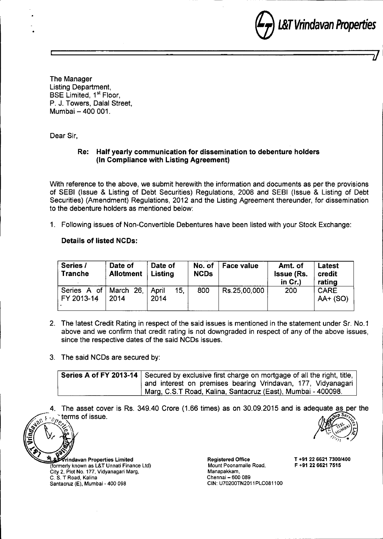e*L&TVrindavan Properties*

The Manager Listing Department, BSE Limited, 1<sup>st</sup> Floor, P. J. Towers, Dalal Street, Mumbai - 400 001.

Dear Sir,

## **Re: Half yearly communication for dissemination to debenture holders (In Compliance with Listing Agreement)**

With reference to the above, we submit herewith the information and documents as per the provisions of SEBI (Issue & Listing of Debt Securities) Regulations, 2008 and SEBI (Issue & Listing of Debt Securities) (Amendment) Regulations, 2012 and the Listing Agreement thereunder, for dissemination to the debenture holders as mentioned below:

<sup>I</sup> **J**

1. Following issues of Non-Convertible Debentures have been listed with your Stock Exchange:

## **Details of listed NCDs:**

| Series /<br>Tranche                 | Date of<br><b>Allotment</b> | Date of<br>Listing   | No. of<br><b>NCDs</b> | <b>Face value</b> | Amt. of<br><b>Issue (Rs.</b><br>in $Cr.$ ) | Latest<br>credit<br>rating |
|-------------------------------------|-----------------------------|----------------------|-----------------------|-------------------|--------------------------------------------|----------------------------|
| Series A of March 26,<br>FY 2013-14 | 2014                        | April<br>15.<br>2014 | 800                   | Rs.25,00,000      | 200                                        | <b>CARE</b><br>AA+ (SO)    |

- 2. The latest Credit Rating in respect of the said issues is mentioned in the statement under Sr. NO.1 above and we confirm that credit rating is not downgraded in respect of any of the above issues, since the respective dates of the said NCDs issues.
- 3. The said NCDs are secured by:

| Series A of FY 2013-14 Secured by exclusive first charge on mortgage of all the right, title, $ $ |
|---------------------------------------------------------------------------------------------------|
| and interest on premises bearing Vrindavan, 177, Vidyanagari                                      |
| Marg, C.S.T Road, Kalina, Santacruz (East), Mumbai - 400098.                                      |

The asset cover is Rs. 349.40 Crore (1.66 times) as on 30.09.2015 and is adequate as per the terms of issue.



(formerly known as L&T Unnati Finance Ltd) City 2, Plot No. 177, Vidyanagari Marg, C. S, T Road, Kalina Santacruz (E), Mumbai - 400 098

Registered Office T +91 22 6621 *7300/400* Mount Poonamalle Road, F +91 22 6621 7515 Manapakkam, Chennai - 600 089 CIN: U702ooTN2o11PLC0811oo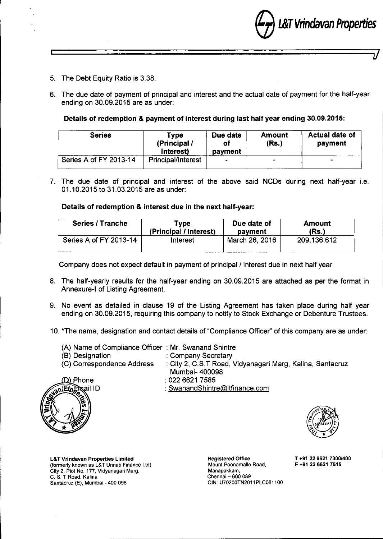e*L&TVrindavan Properties*

- 5. The Debt Equity Ratio is 3.38.
- 6. The due date of payment of principal and interest and the actual date of payment for the half-year ending on 30.09.2015 are as under:

 $\overline{\phantom{a}}$  ) and the contract of the contract of the contract of  $\overline{\phantom{a}}$ 

## Details of redemption & payment of interest during last half year ending 30.09.2015:

| <b>Series</b>          | Tvpe<br>(Principal /<br>Interest) | Due date<br>of<br>payment | <b>Amount</b><br>(Rs.) | <b>Actual date of</b><br>payment |
|------------------------|-----------------------------------|---------------------------|------------------------|----------------------------------|
| Series A of FY 2013-14 | <b>Principal/Interest</b>         | $\overline{\phantom{0}}$  | $\qquad \qquad$        | $\blacksquare$                   |

7. The due date of principal and interest of the above said NCDs during next half-year i.e. 01.10.2015 to 31.03.2015 are as under:

#### Details of redemption & interest due in the next half-year:

| <b>Series / Tranche</b> | <b>Type</b>            | Due date of    | <b>Amount</b> |
|-------------------------|------------------------|----------------|---------------|
|                         | (Principal / Interest) | payment        | (Rs.)         |
| Series A of FY 2013-14  | Interest               | March 26, 2016 | 209.136,612   |

Company does not expect default in payment of principal / interest due in next half year

- 8. The half-yearly results for the half-year ending on 30.09.2015 are attached as per the format in Annexure-I of Listing Agreement.
- 9. No event as detailed in clause 19 of the Listing Agreement has taken place during half year ending on 30.09.2015, requiring this company to notify to Stock Exchange or Debenture Trustees.
- 10.\*The name, designation and contact details of "Compliance Officer" of this company are as under:

| (A) Name of Compliance Officer: Mr. Swanand Shintre |                                                           |
|-----------------------------------------------------|-----------------------------------------------------------|
| (B) Designation                                     | : Company Secretary                                       |
| (C) Correspondence Address                          | : City 2, C.S.T Road, Vidyanagari Marg, Kalina, Santacruz |
|                                                     | Mumbai- 400098                                            |
|                                                     |                                                           |



: 0226621 7585 : [SwanandShintre@ltfinance.com](mailto:SwanandShintre@ltfinance.com)



L&T Vrindavan Properties Limited (formerly known as L&T Unnati Finance ltd) City 2, Plot No. 177, Vidyanagari Marg, C. S. T Road, Kalina Santacruz (E), Mumbai - 400 098

Registered Office T +91 22 6621 7300/400<br>Mount Poonamalie Road. F +91 22 6621 7515 Mount Poonamalle Road, Manapakkam, Chennai - 600 089 CIN: U70200TN2011PLC081100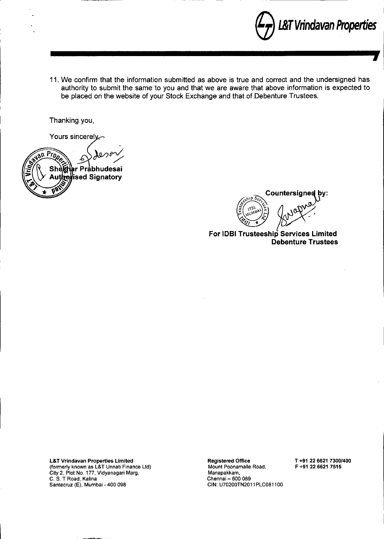

11. We confirm that the information submitted as above is true and correct and the undersigned has authority to submit the same to you and that we are aware that above information is expected to be placed on the website of your Stock Exchange and that of Debenture Trustees.

Thanking you,

Yours sincerely



Countersigned by:  $\frac{1}{2}$   $\left( \frac{1}{2} \sum_{i=1}^{n} x_i^2 - 2 \sum_{i=1}^{n} x_i^2 \right)$  $\gamma$ oy .r. ~ ., *~QI •• '*

For lOBI Trusteeship Services limited **Debenture Trustees** 

L&T Vrindavan Properties Limited (formerly known as L&T Unnati Finance Ltd) City 2, Plot No. 177, Vidyanagari Marg, C. S. T Road, Kalina Santacruz (E), Mumbai - 400 098

Registered Office

Mount Poonamalle Road, Manapakkam, Chennai - 600 089 CIN: U70200TN2011PLC081100 T +91 22 6621 7300/400 F +91 22 6621 7515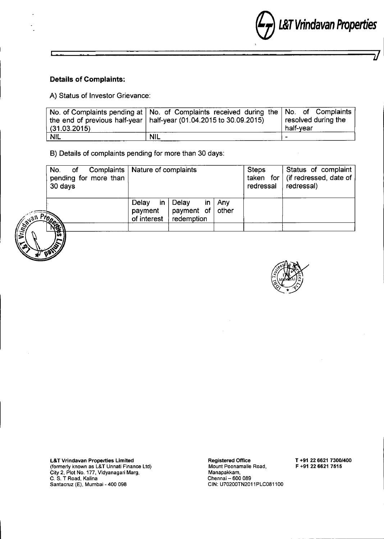

#### **Details of Complaints:**

A) Status of Investor Grievance:

|              | No. of Complaints pending at $\vert$ No. of Complaints received during the $\vert$ No. of Complaints $\vert$ |                     |
|--------------|--------------------------------------------------------------------------------------------------------------|---------------------|
|              | the end of previous half-year   half-year (01.04.2015 to 30.09.2015)                                         | resolved during the |
| (31.03.2015) |                                                                                                              | half-vear           |
| <b>NIL</b>   | <b>NIL</b>                                                                                                   | -                   |

I *J*

B) Details of complaints pending for more than 30 days:

|         | Complaints   Nature of complaints<br>No. of<br>pending for more than<br>30 days |                                        |                                                        |       | <b>Steps</b><br>redressal | Status of complaint<br>taken for $\int$ (if redressed, date of<br>redressal) |
|---------|---------------------------------------------------------------------------------|----------------------------------------|--------------------------------------------------------|-------|---------------------------|------------------------------------------------------------------------------|
| an Prop | 微                                                                               | Delay<br>-in<br>payment<br>of interest | Delay<br>in.<br>payment of $\vert$ other<br>redemption | . Anv |                           |                                                                              |



L&T Vrindavan Properties Limited (formerly known as L&T Unnali Finance Ltd) City 2, Plot No. 177, Vidyanagari Marg C. S. T Road, Kalina Sanlacruz (E), Mumbai - 400 098

Registered Office Mount Poonamalle Road, Manapakkam, Chennai – 600 089 CIN: U70200TN2011PLC0811 T +91 22 6621 7300/400 F +91 22 6621 7515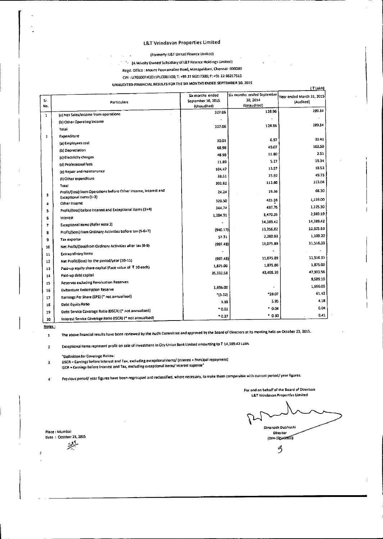## L&T Vrindavan Properties Limited

#### (Formerly: L&T Unnatl Finance Limited)

<sup>1</sup> IA Wholly Owned Subsidiary of L&T Finance Holdings Limited)

 $\overline{1}$ 

Regd. Office : Mount Poonamallee Road, Manapakkam, Chennai- 600089

CIN : U70200TN2011PlC081100; T: +9122 66217300; F: +91 22 66217515

UNAUDITED FlNANCIAl Rf.SUlTS FOR THE SJX MONTHS ENDED SEPTEMBER 30. 201S

|              | <b><i><u><b><i>DIMMONTER LINNIAPOLITION INTERNATIONAL</i></b></u></i></b>  |                                                       |                                                       | (Yiakh)                                |
|--------------|----------------------------------------------------------------------------|-------------------------------------------------------|-------------------------------------------------------|----------------------------------------|
| Sr.<br>No.   | Particulars                                                                | Six months ended<br>September 30, 2015<br>(Unaudited) | Six months ended September<br>30, 2014<br>(Unaudited) | Year ended March 31, 2015<br>(Audited) |
| $\mathbf{1}$ | (a) Net Sales/Income from operations                                       | 327.06                                                | 128.96                                                | 289.34                                 |
|              | (b) Other Operating Income                                                 |                                                       |                                                       |                                        |
|              | Total                                                                      | 327.06                                                | 128.96                                                | 289.34                                 |
| 1            | Expenditure                                                                |                                                       |                                                       |                                        |
|              | (a) Employees cost                                                         | 30.01                                                 | 6.97                                                  | 30.43                                  |
|              | (b) Depreciation                                                           | 68.96                                                 | 49.07                                                 | 102.50                                 |
|              | (c) Electricity charges                                                    | 48.98                                                 | 11.80                                                 | 2.51                                   |
|              | (d) Professional fees                                                      | 11.89                                                 | 5.27                                                  | 19.34                                  |
|              | (e) Repair and maintenance                                                 | 104.47                                                | 13.57                                                 | 18.53                                  |
|              | (f) Other expenditure                                                      | 38.51                                                 | 25.92                                                 | 49.73                                  |
|              | Total                                                                      | 302.82                                                | 112.60                                                | 223.04                                 |
| 3            | Profit/(loss) from Operations before Other Income, Interest and            | 24.24                                                 | 16.36                                                 | 66.30                                  |
|              | Exceptional Items (1-2)                                                    | 320.50                                                | 423.39                                                | 1,159.00                               |
| 4            | Other Income<br>Profit/(loss) before Interest and Exceptional items (3+4)  | 344,74                                                | 437.75                                                | 1,225.30                               |
| 5            |                                                                            | 1,284.91                                              | 1,470.35                                              | 2,989.19                               |
| 6            | Interest<br><b>Exceptional items (Refer note 2)</b>                        |                                                       | 14,389.42                                             | 14,389.42                              |
| 7            | Profit/[loss] from Ordinary Activities before tax (5-6+7)                  | [940.17]                                              | 13.356.82                                             | 12,625.53                              |
| 8            |                                                                            | 57.31                                                 | 2,280.93                                              | 1,109.20                               |
| ð            | Tax expense<br>Net Profit/(loss)from Ordinary Activities after tax (8-9)   | (997.48)                                              | 11,075.89                                             | 11,516.33                              |
| 10           |                                                                            |                                                       |                                                       |                                        |
| 11           | Extraordinary Items<br>Net Profit/(loss) for the period/year (10-11)       | (997.48)                                              | 11,075.89                                             | 11,516.33                              |
| 12           | Paid-up equity share capital (Face value of ₹ 10 each)                     | 1,875.00                                              | 1,875.00                                              | 1,875.00                               |
| 13           |                                                                            | 35,332.58                                             | 43,495.39                                             | 47,933.56                              |
| 14           | Paid-up debt capital                                                       |                                                       |                                                       | 9,589.10                               |
| 15           | Reserves excluding Revaluation Reserves                                    | 1,696.00                                              |                                                       | 1,696.00                               |
| 16           | Debenture Redemption Reserve                                               | (5.32)                                                | *59.07                                                | 61.42                                  |
| 17           | Earnings Per Share (EPS) (* not annualised)                                | 3.38                                                  | 3.95                                                  | 4.18                                   |
| 18           | Debt Equity Ratio<br>Oebt Service Coverage Ratio (DSCR) (* not annualised) | * 0.02                                                | .04                                                   | 0.04                                   |
| 19           |                                                                            | $^{\bullet}$ 0.27                                     | .030                                                  | 0.41                                   |
| 20           | Interest Service Coverage Ratio (ISCR) (* not annualised)                  |                                                       |                                                       |                                        |

Notes:  $\mathbf 1$ 

The above financial results have been reviewed by the Audit Committee and approved by the Board of Directors at Its meeting held on October 23, 2015.

Exceptional items represent profit on sale of investment in Oty Union Bank Limited amounting to  $\bar{\tau}$  14,389.42 Lakh.  $\overline{\mathbf{c}}$ 

"Definition for Coverage Ratios:

OSCR = Earnings before Interest and Tax, excluding exceptional items/ (Interest + Principal repayment)  $\overline{\mathbf{3}}$ lSCR • Earnings before Interest and Tax, excluding exceptional items/ Interest expense\*

4' Previous period/ year figures have been regrouped and reclassified, where necessary, to make them comparable with current period/ year figures.

L&T Vrindavan Properties Limited Dinanath Dubhashi Director  $(0|N-03545900)$ 

For and en behalf of the Board of Directors

~

Place: Mumbai Date: October 23, 2015

ب<br>مرکز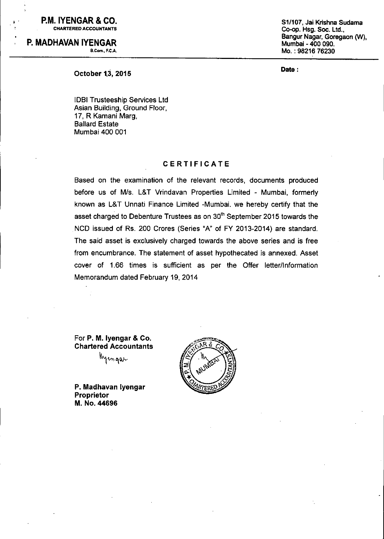; P.M. **IYENGAR &** CO. CHARTERED ACCOUNTANTS

P. **MADHAVAN IYENGAR** a.Com., F.C.A. S*1/107,* Jai Krishna Sudama Co-op. Hsg. Soc. Ltd., Bangur Nagar, Goregaon *(W)*, Mumbai - 400 090. Mo. : 98216 76230

Date :

October 1.3, 2015

lOBI Trusteeship Services Ltd Asian Building, Ground Floor, 17, R Kamani Marg, Ballard Estate Mumbai 400 001

### CERTIFICATE

Based on the examination of the relevant records, documents produced before us of *MIs.* L&T Vrindavan Properties Limited - Mumbai, formerly known as L&T Unnati Finance Limited -Mumbai. we hereby certify that the asset charged to Debenture Trustees as on  $30<sup>th</sup>$  September 2015 towards the NCO issued of Rs. 200 Crores (Series "A" of FY 2013-2014) are standard. The said asset is exclusively charged towards the above series and is free from encumbrance. The statement of asset hypothecated is annexed. Asset cover of 1.66 times is sufficient as per the Offer letter/Information Memorandum dated February 19, 2014

For P. M. Iyengar & Co. Chartered Accountants

wem qan

P. Madhavan Iyengar Proprietor M. No. 44696